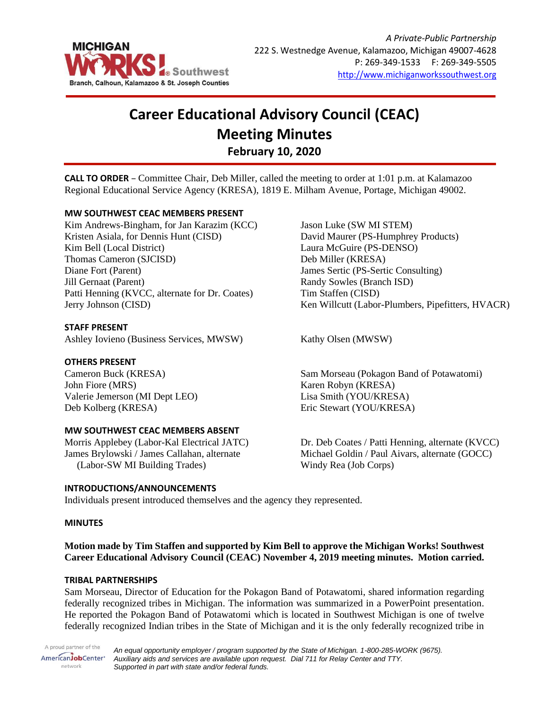

# **Career Educational Advisory Council (CEAC) Meeting Minutes February 10, 2020**

**CALL TO ORDER** – Committee Chair, Deb Miller, called the meeting to order at 1:01 p.m. at Kalamazoo Regional Educational Service Agency (KRESA), 1819 E. Milham Avenue, Portage, Michigan 49002.

# **MW SOUTHWEST CEAC MEMBERS PRESENT**

Kim Andrews-Bingham, for Jan Karazim (KCC) Kristen Asiala, for Dennis Hunt (CISD) Kim Bell (Local District) Thomas Cameron (SJCISD) Diane Fort (Parent) Jill Gernaat (Parent) Patti Henning (KVCC, alternate for Dr. Coates) Jerry Johnson (CISD)

#### **STAFF PRESENT**

Ashley Iovieno (Business Services, MWSW) Kathy Olsen (MWSW)

#### **OTHERS PRESENT**

Cameron Buck (KRESA) John Fiore (MRS) Valerie Jemerson (MI Dept LEO) Deb Kolberg (KRESA)

#### **MW SOUTHWEST CEAC MEMBERS ABSENT**

Morris Applebey (Labor-Kal Electrical JATC) James Brylowski / James Callahan, alternate (Labor-SW MI Building Trades)

## **INTRODUCTIONS/ANNOUNCEMENTS**

Jason Luke (SW MI STEM) David Maurer (PS-Humphrey Products) Laura McGuire (PS-DENSO) Deb Miller (KRESA) James Sertic (PS-Sertic Consulting) Randy Sowles (Branch ISD) Tim Staffen (CISD) Ken Willcutt (Labor-Plumbers, Pipefitters, HVACR)

Sam Morseau (Pokagon Band of Potawatomi) Karen Robyn (KRESA) Lisa Smith (YOU/KRESA) Eric Stewart (YOU/KRESA)

Dr. Deb Coates / Patti Henning, alternate (KVCC) Michael Goldin / Paul Aivars, alternate (GOCC) Windy Rea (Job Corps)

Individuals present introduced themselves and the agency they represented.

#### **MINUTES**

**Motion made by Tim Staffen and supported by Kim Bell to approve the Michigan Works! Southwest Career Educational Advisory Council (CEAC) November 4, 2019 meeting minutes. Motion carried.**

#### **TRIBAL PARTNERSHIPS**

Sam Morseau, Director of Education for the Pokagon Band of Potawatomi, shared information regarding federally recognized tribes in Michigan. The information was summarized in a PowerPoint presentation. He reported the Pokagon Band of Potawatomi which is located in Southwest Michigan is one of twelve federally recognized Indian tribes in the State of Michigan and it is the only federally recognized tribe in

A proud partner of the AmericanJobCenter<sup>®</sup> network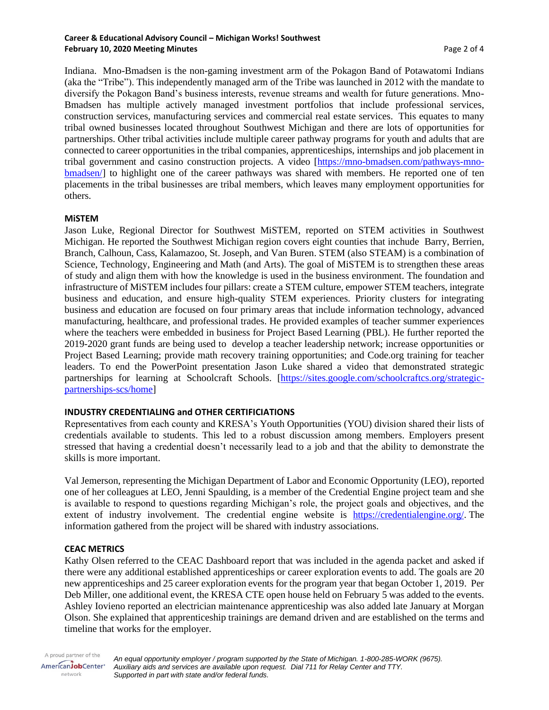#### **Career & Educational Advisory Council – Michigan Works! Southwest February 10, 2020 Meeting Minutes** Page 2 of 4

Indiana. Mno-Bmadsen is the non-gaming investment arm of the Pokagon Band of Potawatomi Indians (aka the "Tribe"). This independently managed arm of the Tribe was launched in 2012 with the mandate to diversify the Pokagon Band's business interests, revenue streams and wealth for future generations. Mno-Bmadsen has multiple actively managed investment portfolios that include professional services, construction services, manufacturing services and commercial real estate services. This equates to many tribal owned businesses located throughout Southwest Michigan and there are lots of opportunities for partnerships. Other tribal activities include multiple career pathway programs for youth and adults that are connected to career opportunities in the tribal companies, apprenticeships, internships and job placement in tribal government and casino construction projects. A video [\[https://mno-bmadsen.com/pathways-mno](https://mno-bmadsen.com/pathways-mno-bmadsen/)[bmadsen/\]](https://mno-bmadsen.com/pathways-mno-bmadsen/) to highlight one of the career pathways was shared with members. He reported one of ten placements in the tribal businesses are tribal members, which leaves many employment opportunities for others.

## **MiSTEM**

Jason Luke, Regional Director for Southwest MiSTEM, reported on STEM activities in Southwest Michigan. He reported the Southwest Michigan region covers eight counties that inchude Barry, Berrien, Branch, Calhoun, Cass, Kalamazoo, St. Joseph, and Van Buren. STEM (also STEAM) is a combination of Science, Technology, Engineering and Math (and Arts). The goal of MiSTEM is to strengthen these areas of study and align them with how the knowledge is used in the business environment. The foundation and infrastructure of MiSTEM includes four pillars: create a STEM culture, empower STEM teachers, integrate business and education, and ensure high-quality STEM experiences. Priority clusters for integrating business and education are focused on four primary areas that include information technology, advanced manufacturing, healthcare, and professional trades. He provided examples of teacher summer experiences where the teachers were embedded in business for Project Based Learning (PBL). He further reported the 2019-2020 grant funds are being used to develop a teacher leadership network; increase opportunities or Project Based Learning; provide math recovery training opportunities; and Code.org training for teacher leaders. To end the PowerPoint presentation Jason Luke shared a video that demonstrated strategic partnerships for learning at Schoolcraft Schools. [\[https://sites.google.com/schoolcraftcs.org/strategic](https://sites.google.com/schoolcraftcs.org/strategic-partnerships-scs/home)[partnerships-scs/home\]](https://sites.google.com/schoolcraftcs.org/strategic-partnerships-scs/home)

# **INDUSTRY CREDENTIALING and OTHER CERTIFICIATIONS**

Representatives from each county and KRESA's Youth Opportunities (YOU) division shared their lists of credentials available to students. This led to a robust discussion among members. Employers present stressed that having a credential doesn't necessarily lead to a job and that the ability to demonstrate the skills is more important.

Val Jemerson, representing the Michigan Department of Labor and Economic Opportunity (LEO), reported one of her colleagues at LEO, Jenni Spaulding, is a member of the Credential Engine project team and she is available to respond to questions regarding Michigan's role, the project goals and objectives, and the extent of industry involvement. The credential engine website is [https://credentialengine.org/.](https://credentialengine.org/) The information gathered from the project will be shared with industry associations.

# **CEAC METRICS**

Kathy Olsen referred to the CEAC Dashboard report that was included in the agenda packet and asked if there were any additional established apprenticeships or career exploration events to add. The goals are 20 new apprenticeships and 25 career exploration events for the program year that began October 1, 2019. Per Deb Miller, one additional event, the KRESA CTE open house held on February 5 was added to the events. Ashley Iovieno reported an electrician maintenance apprenticeship was also added late January at Morgan Olson. She explained that apprenticeship trainings are demand driven and are established on the terms and timeline that works for the employer.

A proud partner of the *An equal opportunity employer / program supported by the State of Michigan. 1-800-285-WORK (9675).* AmericanJobCenter\* *Auxiliary aids and services are available upon request. Dial 711 for Relay Center and TTY.* network *Supported in part with state and/or federal funds.*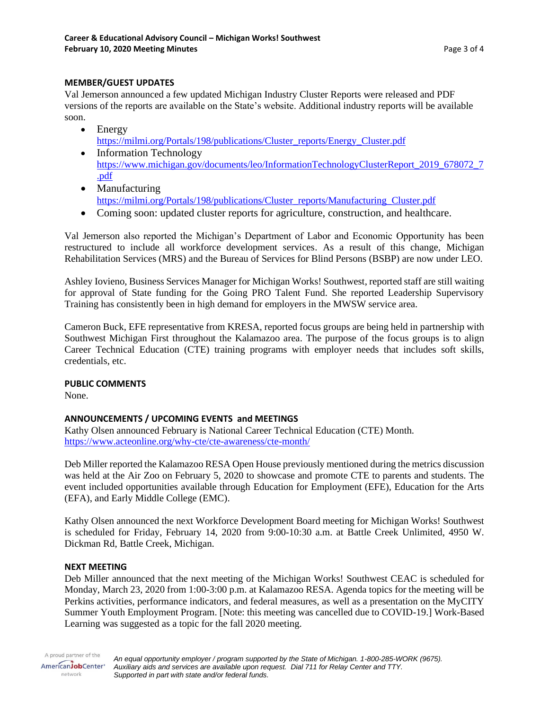## **MEMBER/GUEST UPDATES**

Val Jemerson announced a few updated Michigan Industry Cluster Reports were released and PDF versions of the reports are available on the State's website. Additional industry reports will be available soon.

- Energy [https://milmi.org/Portals/198/publications/Cluster\\_reports/Energy\\_Cluster.pdf](https://milmi.org/Portals/198/publications/Cluster_reports/Energy_Cluster.pdf)
- Information Technology [https://www.michigan.gov/documents/leo/InformationTechnologyClusterReport\\_2019\\_678072\\_7](https://www.michigan.gov/documents/leo/InformationTechnologyClusterReport_2019_678072_7.pdf) [.pdf](https://www.michigan.gov/documents/leo/InformationTechnologyClusterReport_2019_678072_7.pdf)
- Manufacturing https://milmi.org/Portals/198/publications/Cluster\_reports/Manufacturing\_Cluster.pdf
- Coming soon: updated cluster reports for agriculture, construction, and healthcare.

Val Jemerson also reported the Michigan's Department of Labor and Economic Opportunity has been restructured to include all workforce development services. As a result of this change, Michigan Rehabilitation Services (MRS) and the Bureau of Services for Blind Persons (BSBP) are now under LEO.

Ashley Iovieno, Business Services Manager for Michigan Works! Southwest, reported staff are still waiting for approval of State funding for the Going PRO Talent Fund. She reported Leadership Supervisory Training has consistently been in high demand for employers in the MWSW service area.

Cameron Buck, EFE representative from KRESA, reported focus groups are being held in partnership with Southwest Michigan First throughout the Kalamazoo area. The purpose of the focus groups is to align Career Technical Education (CTE) training programs with employer needs that includes soft skills, credentials, etc.

# **PUBLIC COMMENTS**

None.

# **ANNOUNCEMENTS / UPCOMING EVENTS and MEETINGS**

Kathy Olsen announced February is National Career Technical Education (CTE) Month. <https://www.acteonline.org/why-cte/cte-awareness/cte-month/>

Deb Miller reported the Kalamazoo RESA Open House previously mentioned during the metrics discussion was held at the Air Zoo on February 5, 2020 to showcase and promote CTE to parents and students. The event included opportunities available through Education for Employment (EFE), Education for the Arts (EFA), and Early Middle College (EMC).

Kathy Olsen announced the next Workforce Development Board meeting for Michigan Works! Southwest is scheduled for Friday, February 14, 2020 from 9:00-10:30 a.m. at Battle Creek Unlimited, 4950 W. Dickman Rd, Battle Creek, Michigan.

## **NEXT MEETING**

Deb Miller announced that the next meeting of the Michigan Works! Southwest CEAC is scheduled for Monday, March 23, 2020 from 1:00-3:00 p.m. at Kalamazoo RESA. Agenda topics for the meeting will be Perkins activities, performance indicators, and federal measures, as well as a presentation on the MyCITY Summer Youth Employment Program. [Note: this meeting was cancelled due to COVID-19.] Work-Based Learning was suggested as a topic for the fall 2020 meeting.